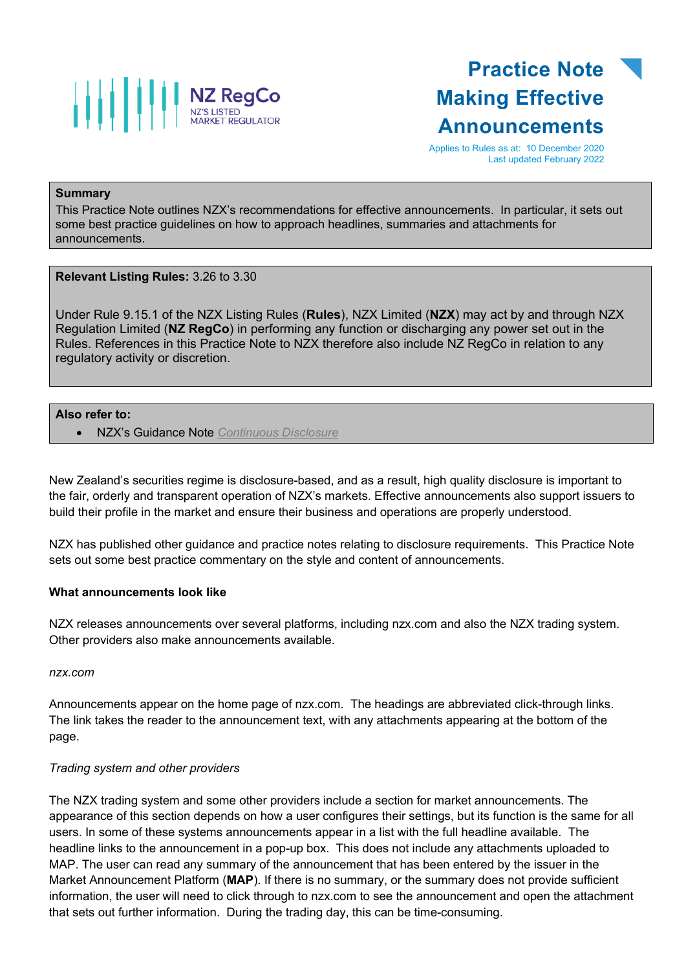

## **Practice Note Making Effective Announcements**

Applies to Rules as at: 10 December 2020 Last updated February 2022

### **Summary**

This Practice Note outlines NZX's recommendations for effective announcements. In particular, it sets out some best practice guidelines on how to approach headlines, summaries and attachments for announcements.

**Relevant Listing Rules:** 3.26 to 3.30

Under Rule 9.15.1 of the NZX Listing Rules (**Rules**), NZX Limited (**NZX**) may act by and through NZX Regulation Limited (**NZ RegCo**) in performing any function or discharging any power set out in the Rules. References in this Practice Note to NZX therefore also include NZ RegCo in relation to any regulatory activity or discretion.

### **Also refer to:**

• NZX's Guidance Note *[Continuous Disclosure](https://www.nzx.com/regulation/nzx-rules-guidance/nzx-mo-announcements/guidance-notes)*

New Zealand's securities regime is disclosure-based, and as a result, high quality disclosure is important to the fair, orderly and transparent operation of NZX's markets. Effective announcements also support issuers to build their profile in the market and ensure their business and operations are properly understood.

NZX has published other guidance and practice notes relating to disclosure requirements. This Practice Note sets out some best practice commentary on the style and content of announcements.

### **What announcements look like**

NZX releases announcements over several platforms, including nzx.com and also the NZX trading system. Other providers also make announcements available.

*nzx.com*

Announcements appear on the home page of nzx.com. The headings are abbreviated click-through links. The link takes the reader to the announcement text, with any attachments appearing at the bottom of the page.

### *Trading system and other providers*

The NZX trading system and some other providers include a section for market announcements. The appearance of this section depends on how a user configures their settings, but its function is the same for all users. In some of these systems announcements appear in a list with the full headline available. The headline links to the announcement in a pop-up box. This does not include any attachments uploaded to MAP. The user can read any summary of the announcement that has been entered by the issuer in the Market Announcement Platform (**MAP**). If there is no summary, or the summary does not provide sufficient information, the user will need to click through to nzx.com to see the announcement and open the attachment that sets out further information. During the trading day, this can be time-consuming.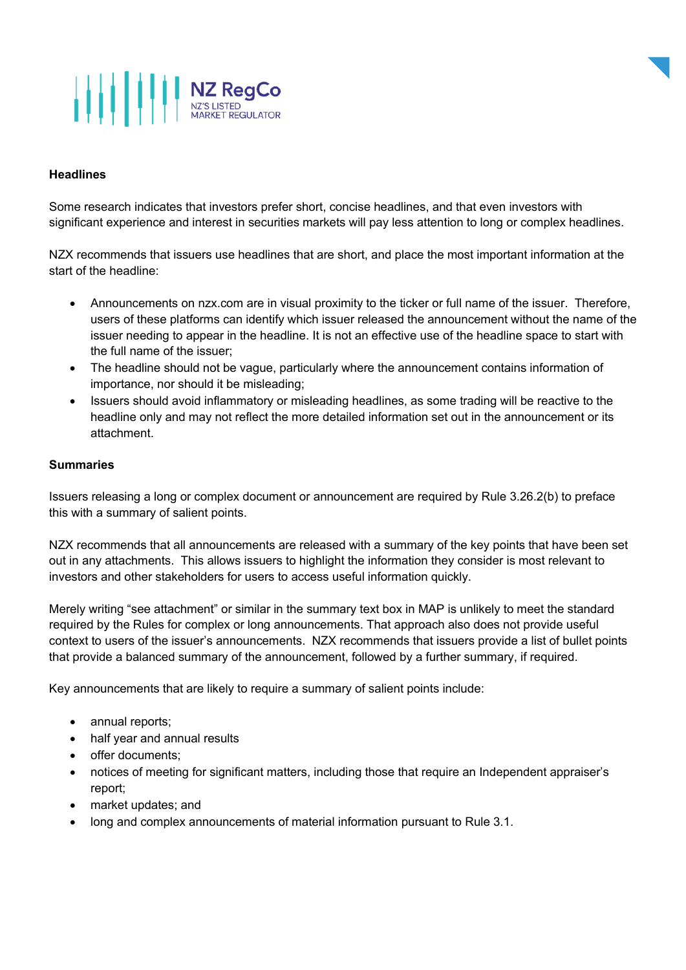# **AND READ POSTED MARKET REGULATOR**

### **Headlines**

Some research indicates that investors prefer short, concise headlines, and that even investors with significant experience and interest in securities markets will pay less attention to long or complex headlines.

NZX recommends that issuers use headlines that are short, and place the most important information at the start of the headline:

- Announcements on nzx.com are in visual proximity to the ticker or full name of the issuer. Therefore, users of these platforms can identify which issuer released the announcement without the name of the issuer needing to appear in the headline. It is not an effective use of the headline space to start with the full name of the issuer;
- The headline should not be vague, particularly where the announcement contains information of importance, nor should it be misleading;
- Issuers should avoid inflammatory or misleading headlines, as some trading will be reactive to the headline only and may not reflect the more detailed information set out in the announcement or its attachment.

### **Summaries**

Issuers releasing a long or complex document or announcement are required by Rule 3.26.2(b) to preface this with a summary of salient points.

NZX recommends that all announcements are released with a summary of the key points that have been set out in any attachments. This allows issuers to highlight the information they consider is most relevant to investors and other stakeholders for users to access useful information quickly.

Merely writing "see attachment" or similar in the summary text box in MAP is unlikely to meet the standard required by the Rules for complex or long announcements. That approach also does not provide useful context to users of the issuer's announcements. NZX recommends that issuers provide a list of bullet points that provide a balanced summary of the announcement, followed by a further summary, if required.

Key announcements that are likely to require a summary of salient points include:

- annual reports;
- half year and annual results
- offer documents;
- notices of meeting for significant matters, including those that require an Independent appraiser's report;
- market updates; and
- long and complex announcements of material information pursuant to Rule 3.1.